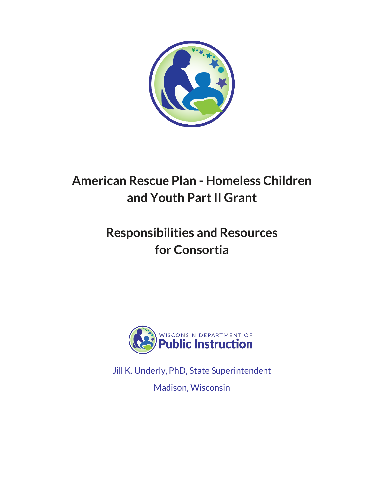

# **American Rescue Plan - Homeless Children and Youth Part II Grant**

# **Responsibilities and Resources for Consortia**



Jill K. Underly, PhD, State Superintendent

Madison, Wisconsin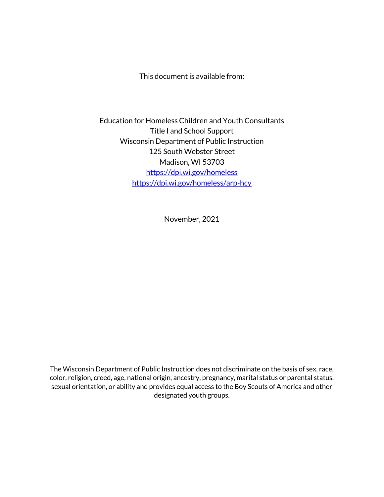This document is available from:

Education for Homeless Children and Youth Consultants Title I and School Support Wisconsin Department of Public Instruction 125 South Webster Street Madison, WI 53703 <https://dpi.wi.gov/homeless> <https://dpi.wi.gov/homeless/arp-hcy>

November, 2021

The Wisconsin Department of Public Instruction does not discriminate on the basis of sex, race, color, religion, creed, age, national origin, ancestry, pregnancy, marital status or parental status, sexual orientation, or ability and provides equal access to the Boy Scouts of America and other designated youth groups.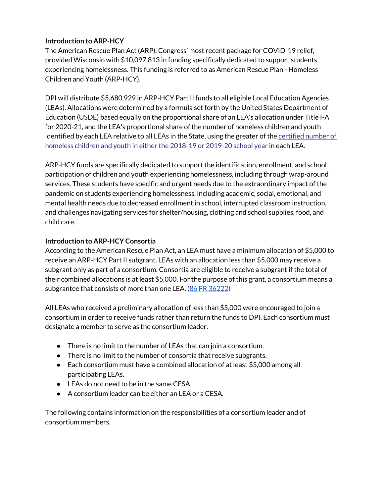## **Introduction to ARP-HCY**

The American Rescue Plan Act (ARP), Congress' most recent package for COVID-19 relief, provided Wisconsin with \$10,097,813 in funding specifically dedicated to support students experiencing homelessness. This funding is referred to as American Rescue Plan - Homeless Children and Youth (ARP-HCY).

DPI will distribute \$5,680,929 in ARP-HCY Part II funds to all eligible Local Education Agencies (LEAs). Allocations were determined by a formula set forth by the United States Department of Education (USDE) based equally on the proportional share of an LEA's allocation under Title I-A for 2020-21, and the LEA's proportional share of the number of homeless children and youth identified by each LEA relative to all LEAs in the State, using the greater of the certified number of [homeless children and youth in either the 2018-19 or 2019-20 school year](https://dpi.wi.gov/sites/default/files/imce/homeless/xls/Homeless_Student_Certified_Data_18-19_19-20.xlsx) in each LEA.

ARP-HCY funds are specifically dedicated to support the identification, enrollment, and school participation of children and youth experiencing homelessness, including through wrap-around services. These students have specific and urgent needs due to the extraordinary impact of the pandemic on students experiencing homelessness, including academic, social, emotional, and mental health needs due to decreased enrollment in school, interrupted classroom instruction, and challenges navigating services for shelter/housing, clothing and school supplies, food, and child care.

## **Introduction to ARP-HCY Consortia**

According to the American Rescue Plan Act, an LEA must have a minimum allocation of \$5,000 to receive an ARP-HCY Part II subgrant. LEAs with an allocation less than \$5,000 may receive a subgrant only as part of a consortium. Consortia are eligible to receive a subgrant if the total of their combined allocations is at least \$5,000. For the purpose of this grant, a consortium means a subgrantee that consists of more than one LEA. [\(86 FR 36222\)](https://www.federalregister.gov/d/2021-14705/p-24)

All LEAs who received a preliminary allocation of less than \$5,000 were encouraged to join a consortium in order to receive funds rather than return the funds to DPI. Each consortium must designate a member to serve as the consortium leader.

- There is no limit to the number of LEAs that can join a consortium.
- There is no limit to the number of consortia that receive subgrants.
- Each consortium must have a combined allocation of at least \$5,000 among all participating LEAs.
- LEAs do not need to be in the same CESA.
- A consortium leader can be either an LEA or a CESA.

The following contains information on the responsibilities of a consortium leader and of consortium members.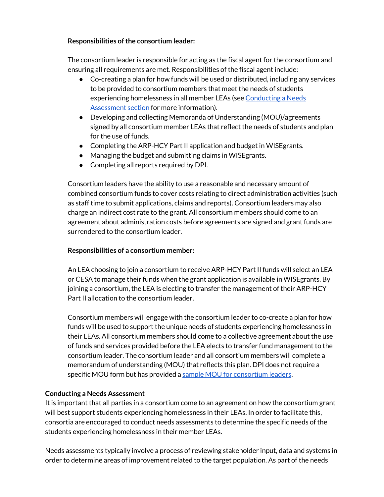## **Responsibilities of the consortium leader:**

The consortium leader is responsible for acting as the fiscal agent for the consortium and ensuring all requirements are met. Responsibilities of the fiscal agent include:

- Co-creating a plan for how funds will be used or distributed, including any services to be provided to consortium members that meet the needs of students experiencing homelessness in all member LEAs (see Conducting a Needs [Assessment section](#page-3-0) for more information).
- Developing and collecting Memoranda of Understanding (MOU)/agreements signed by all consortium member LEAs that reflect the needs of students and plan for the use of funds.
- Completing the ARP-HCY Part II application and budget in WISE grants.
- Managing the budget and submitting claims in WISEgrants.
- Completing all reports required by DPI.

Consortium leaders have the ability to use a reasonable and necessary amount of combined consortium funds to cover costs relating to direct administration activities (such as staff time to submit applications, claims and reports). Consortium leaders may also charge an indirect cost rate to the grant. All consortium members should come to an agreement about administration costs before agreements are signed and grant funds are surrendered to the consortium leader.

## **Responsibilities of a consortium member:**

An LEA choosing to join a consortium to receive ARP-HCY Part II funds will select an LEA or CESA to manage their funds when the grant application is available in WISEgrants. By joining a consortium, the LEA is electing to transfer the management of their ARP-HCY Part II allocation to the consortium leader.

Consortium members will engage with the consortium leader to co-create a plan for how funds will be used to support the unique needs of students experiencing homelessness in their LEAs. All consortium members should come to a collective agreement about the use of funds and services provided before the LEA elects to transfer fund management to the consortium leader. The consortium leader and all consortium members will complete a memorandum of understanding (MOU) that reflects this plan. DPI does not require a specific MOU form but has provided a [sample MOU for consortium leaders.](#page-7-0)

## <span id="page-3-0"></span>**Conducting a Needs Assessment**

It is important that all parties in a consortium come to an agreement on how the consortium grant will best support students experiencing homelessness in their LEAs. In order to facilitate this, consortia are encouraged to conduct needs assessments to determine the specific needs of the students experiencing homelessness in their member LEAs.

Needs assessments typically involve a process of reviewing stakeholder input, data and systems in order to determine areas of improvement related to the target population. As part of the needs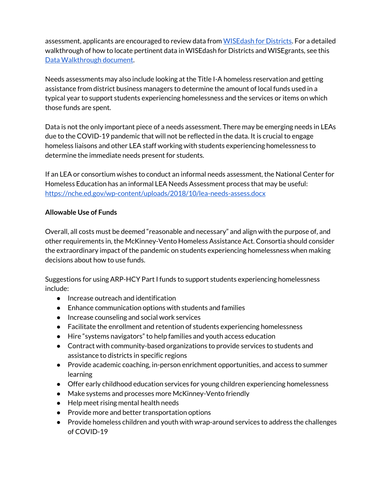assess[m](https://dpi.wi.gov/wisedash/districts)ent, applicants are encouraged to review data from WISE dash for Districts. For a detailed walkthrough of how to locate pertinent data in WISEdash for Districts and WISEgrants, see thi[s](https://dpi.wi.gov/sites/default/files/imce/homeless/pdf/2020-23_EHCY_Application-Data_Walkthrough.pdf) [Data Walkthrough document.](https://dpi.wi.gov/sites/default/files/imce/homeless/pdf/2020-23_EHCY_Application-Data_Walkthrough.pdf)

Needs assessments may also include looking at the Title I-A homeless reservation and getting assistance from district business managers to determine the amount of local funds used in a typical year to support students experiencing homelessness and the services or items on which those funds are spent.

Data is not the only important piece of a needs assessment. There may be emerging needs in LEAs due to the COVID-19 pandemic that will not be reflected in the data. It is crucial to engage homeless liaisons and other LEA staff working with students experiencing homelessness to determine the immediate needs present for students.

If an LEA or consortium wishes to conduct an informal needs assessment, the National Center for Homeless Education has an informal LEA Needs Assessment process that may be useful: <https://nche.ed.gov/wp-content/uploads/2018/10/lea-needs-assess.docx>

## **Allowable Use of Funds**

Overall, all costs must be deemed "reasonable and necessary" and align with the purpose of, and other requirements in, the McKinney-Vento Homeless Assistance Act. Consortia should consider the extraordinary impact of the pandemic on students experiencing homelessness when making decisions about how to use funds.

Suggestions for using ARP-HCY Part I funds to support students experiencing homelessness include:

- Increase outreach and identification
- Enhance communication options with students and families
- Increase counseling and social work services
- Facilitate the enrollment and retention of students experiencing homelessness
- Hire "systems navigators" to help families and youth access education
- Contract with community-based organizations to provide services to students and assistance to districts in specific regions
- Provide academic coaching, in-person enrichment opportunities, and access to summer learning
- Offer early childhood education services for young children experiencing homelessness
- Make systems and processes more McKinney-Vento friendly
- Help meet rising mental health needs
- Provide more and better transportation options
- Provide homeless children and youth with wrap-around services to address the challenges of COVID-19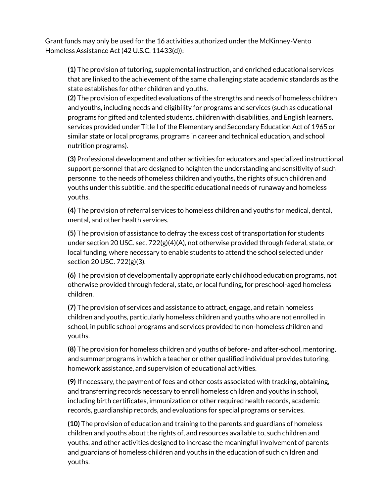Grant funds may only be used for the 16 activities authorized under the McKinney-Vento Homeless Assistance Act (42 U.S.C. 11433(d)):

**(1)** The provision of tutoring, supplemental instruction, and enriched educational services that are linked to the achievement of the same challenging state academic standards as the state establishes for other children and youths.

**(2)** The provision of expedited evaluations of the strengths and needs of homeless children and youths, including needs and eligibility for programs and services (such as educational programs for gifted and talented students, children with disabilities, and English learners, services provided under Title I of the Elementary and Secondary Education Act of 1965 or similar state or local programs, programs in career and technical education, and school nutrition programs).

**(3)** Professional development and other activities for educators and specialized instructional support personnel that are designed to heighten the understanding and sensitivity of such personnel to the needs of homeless children and youths, the rights of such children and youths under this subtitle, and the specific educational needs of runaway and homeless youths.

**(4)** The provision of referral services to homeless children and youths for medical, dental, mental, and other health services.

**(5)** The provision of assistance to defray the excess cost of transportation for students under section 20 USC. sec. 722(g)(4)(A), not otherwise provided through federal, state, or local funding, where necessary to enable students to attend the school selected under section 20 USC. 722(g)(3).

**(6)** The provision of developmentally appropriate early childhood education programs, not otherwise provided through federal, state, or local funding, for preschool-aged homeless children.

**(7)** The provision of services and assistance to attract, engage, and retain homeless children and youths, particularly homeless children and youths who are not enrolled in school, in public school programs and services provided to non-homeless children and youths.

**(8)** The provision for homeless children and youths of before- and after-school, mentoring, and summer programs in which a teacher or other qualified individual provides tutoring, homework assistance, and supervision of educational activities.

**(9)** If necessary, the payment of fees and other costs associated with tracking, obtaining, and transferring records necessary to enroll homeless children and youths in school, including birth certificates, immunization or other required health records, academic records, guardianship records, and evaluations for special programs or services.

**(10)** The provision of education and training to the parents and guardians of homeless children and youths about the rights of, and resources available to, such children and youths, and other activities designed to increase the meaningful involvement of parents and guardians of homeless children and youths in the education of such children and youths.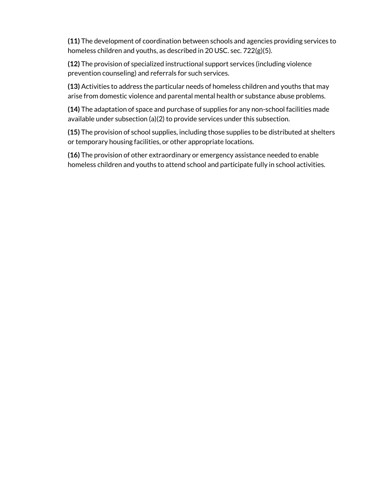**(11)** The development of coordination between schools and agencies providing services to homeless children and youths, as described in 20 USC. sec. 722(g)(5).

**(12)** The provision of specialized instructional support services (including violence prevention counseling) and referrals for such services.

**(13)** Activities to address the particular needs of homeless children and youths that may arise from domestic violence and parental mental health or substance abuse problems.

**(14)** The adaptation of space and purchase of supplies for any non-school facilities made available under subsection (a)(2) to provide services under this subsection.

**(15)** The provision of school supplies, including those supplies to be distributed at shelters or temporary housing facilities, or other appropriate locations.

**(16)** The provision of other extraordinary or emergency assistance needed to enable homeless children and youths to attend school and participate fully in school activities.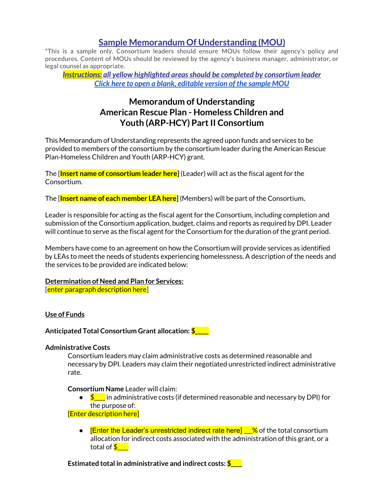## **Sample Memorandum Of Understanding (MOU)**

<span id="page-7-0"></span>\*This is a sample only. Consortium leaders should ensure MOUs follow their agency's policy and procedures. Content of MOUs should be reviewed by the agency's business manager, administrator, or legal counsel as appropriate.

*Instructions: all yellow highlighted areas should be completed by consortium leader [Click here to open a blank, editable version of the sample MOU](https://docs.google.com/document/d/15dqJ_I3ltMCSBeBlvPzwD51isFFCH7RzxZ0sWrplEzQ/copy)*

## **Memorandum of Understanding American Rescue Plan - Homeless Children and Youth (ARP-HCY) Part II Consortium**

This Memorandum of Understanding represents the agreed upon funds and services to be provided to members of the consortium by the consortium leader during the American Rescue Plan-Homeless Children and Youth (ARP-HCY) grant.

The [**Insert name of consortium leader here]** (Leader) will act as the fiscal agent for the Consortium.

The [**Insert name of each member LEA here]** (Members) will be part of the Consortium**.**

Leader is responsible for acting as the fiscal agent for the Consortium, including completion and submission of the Consortium application, budget, claims and reports as required by DPI. Leader will continue to serve as the fiscal agent for the Consortium for the duration of the grant period.

Members have come to an agreement on how the Consortium will provide services as identified by LEAs to meet the needs of students experiencing homelessness. A description of the needs and the services to be provided are indicated below:

## **Determination of Need and Plan for Services:**

[enter paragraph description here]

### **Use of Funds**

**Anticipated Total Consortium Grant allocation: \$\_\_\_\_\_**

### **Administrative Costs**

Consortium leaders may claim administrative costs as determined reasonable and necessary by DPI. Leaders may claim their negotiated unrestricted indirect administrative rate.

**Consortium Name** Leader will claim:

 $\bullet$   $\bullet$   $\bullet$  in administrative costs (if determined reasonable and necessary by DPI) for the purpose of:

### [Enter description here]

 $\bullet$  [Enter the Leader's unrestricted indirect rate here]  $\_\%$  of the total consortium allocation for indirect costs associated with the administration of this grant, or a total of  $\frac{1}{5}$ 

**Estimated total in administrative and indirect costs: \$\_\_\_\_**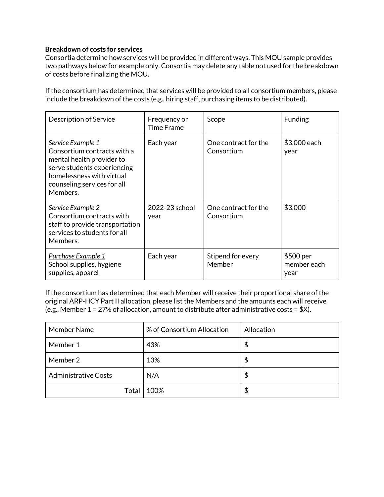### **Breakdown of costs for services**

Consortia determine how services will be provided in different ways. This MOU sample provides two pathways below for example only. Consortia may delete any table not used for the breakdown of costs before finalizing the MOU.

If the consortium has determined that services will be provided to all consortium members, please include the breakdown of the costs (e.g., hiring staff, purchasing items to be distributed).

| Description of Service                                                                                                                                                               | Frequency or<br>Time Frame | Scope                              | <b>Funding</b>                   |
|--------------------------------------------------------------------------------------------------------------------------------------------------------------------------------------|----------------------------|------------------------------------|----------------------------------|
| Service Example 1<br>Consortium contracts with a<br>mental health provider to<br>serve students experiencing<br>homelessness with virtual<br>counseling services for all<br>Members. | Each year                  | One contract for the<br>Consortium | \$3,000 each<br>year             |
| Service Example 2<br>Consortium contracts with<br>staff to provide transportation<br>services to students for all<br>Members.                                                        | 2022-23 school<br>year     | One contract for the<br>Consortium | \$3,000                          |
| <u>Purchase Example 1</u><br>School supplies, hygiene<br>supplies, apparel                                                                                                           | Each year                  | Stipend for every<br>Member        | \$500 per<br>member each<br>year |

If the consortium has determined that each Member will receive their proportional share of the original ARP-HCY Part II allocation, please list the Members and the amounts each will receive (e.g., Member  $1 = 27\%$  of allocation, amount to distribute after administrative costs = \$X).

| Member Name                 | % of Consortium Allocation | Allocation |
|-----------------------------|----------------------------|------------|
| Member 1                    | 43%                        | \$         |
| Member 2                    | 13%                        | S          |
| <b>Administrative Costs</b> | N/A                        | S          |
| Total                       | 100%                       | S          |